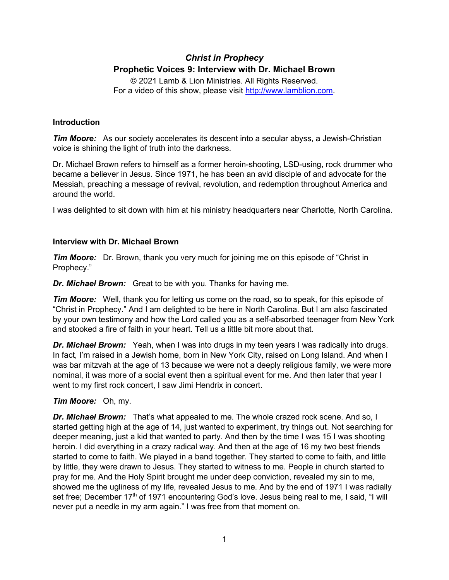# *Christ in Prophecy* **Prophetic Voices 9: Interview with Dr. Michael Brown**

© 2021 Lamb & Lion Ministries. All Rights Reserved. For a video of this show, please visit [http://www.lamblion.com.](http://www.lamblion.com/)

## **Introduction**

*Tim Moore:* As our society accelerates its descent into a secular abyss, a Jewish-Christian voice is shining the light of truth into the darkness.

Dr. Michael Brown refers to himself as a former heroin-shooting, LSD-using, rock drummer who became a believer in Jesus. Since 1971, he has been an avid disciple of and advocate for the Messiah, preaching a message of revival, revolution, and redemption throughout America and around the world.

I was delighted to sit down with him at his ministry headquarters near Charlotte, North Carolina.

# **Interview with Dr. Michael Brown**

*Tim Moore:* Dr. Brown, thank you very much for joining me on this episode of "Christ in Prophecy."

*Dr. Michael Brown:* Great to be with you. Thanks for having me.

*Tim Moore:* Well, thank you for letting us come on the road, so to speak, for this episode of "Christ in Prophecy." And I am delighted to be here in North Carolina. But I am also fascinated by your own testimony and how the Lord called you as a self-absorbed teenager from New York and stooked a fire of faith in your heart. Tell us a little bit more about that.

*Dr. Michael Brown:* Yeah, when I was into drugs in my teen years I was radically into drugs. In fact, I'm raised in a Jewish home, born in New York City, raised on Long Island. And when I was bar mitzvah at the age of 13 because we were not a deeply religious family, we were more nominal, it was more of a social event then a spiritual event for me. And then later that year I went to my first rock concert, I saw Jimi Hendrix in concert.

# *Tim Moore:* Oh, my.

*Dr. Michael Brown:* That's what appealed to me. The whole crazed rock scene. And so, I started getting high at the age of 14, just wanted to experiment, try things out. Not searching for deeper meaning, just a kid that wanted to party. And then by the time I was 15 I was shooting heroin. I did everything in a crazy radical way. And then at the age of 16 my two best friends started to come to faith. We played in a band together. They started to come to faith, and little by little, they were drawn to Jesus. They started to witness to me. People in church started to pray for me. And the Holy Spirit brought me under deep conviction, revealed my sin to me, showed me the ugliness of my life, revealed Jesus to me. And by the end of 1971 I was radially set free; December 17<sup>th</sup> of 1971 encountering God's love. Jesus being real to me, I said, "I will never put a needle in my arm again." I was free from that moment on.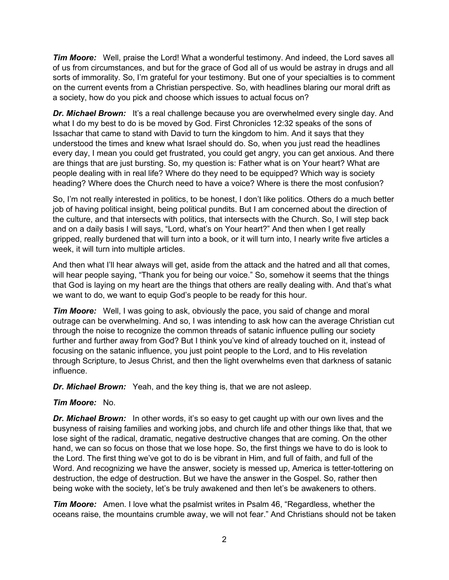**Tim Moore:** Well, praise the Lord! What a wonderful testimony. And indeed, the Lord saves all of us from circumstances, and but for the grace of God all of us would be astray in drugs and all sorts of immorality. So, I'm grateful for your testimony. But one of your specialties is to comment on the current events from a Christian perspective. So, with headlines blaring our moral drift as a society, how do you pick and choose which issues to actual focus on?

*Dr. Michael Brown:* It's a real challenge because you are overwhelmed every single day. And what I do my best to do is be moved by God. First Chronicles 12:32 speaks of the sons of Issachar that came to stand with David to turn the kingdom to him. And it says that they understood the times and knew what Israel should do. So, when you just read the headlines every day, I mean you could get frustrated, you could get angry, you can get anxious. And there are things that are just bursting. So, my question is: Father what is on Your heart? What are people dealing with in real life? Where do they need to be equipped? Which way is society heading? Where does the Church need to have a voice? Where is there the most confusion?

So, I'm not really interested in politics, to be honest, I don't like politics. Others do a much better job of having political insight, being political pundits. But I am concerned about the direction of the culture, and that intersects with politics, that intersects with the Church. So, I will step back and on a daily basis I will says, "Lord, what's on Your heart?" And then when I get really gripped, really burdened that will turn into a book, or it will turn into, I nearly write five articles a week, it will turn into multiple articles.

And then what I'll hear always will get, aside from the attack and the hatred and all that comes, will hear people saying, "Thank you for being our voice." So, somehow it seems that the things that God is laying on my heart are the things that others are really dealing with. And that's what we want to do, we want to equip God's people to be ready for this hour.

*Tim Moore:* Well, I was going to ask, obviously the pace, you said of change and moral outrage can be overwhelming. And so, I was intending to ask how can the average Christian cut through the noise to recognize the common threads of satanic influence pulling our society further and further away from God? But I think you've kind of already touched on it, instead of focusing on the satanic influence, you just point people to the Lord, and to His revelation through Scripture, to Jesus Christ, and then the light overwhelms even that darkness of satanic influence.

*Dr. Michael Brown:* Yeah, and the key thing is, that we are not asleep.

### *Tim Moore:* No.

**Dr. Michael Brown:** In other words, it's so easy to get caught up with our own lives and the busyness of raising families and working jobs, and church life and other things like that, that we lose sight of the radical, dramatic, negative destructive changes that are coming. On the other hand, we can so focus on those that we lose hope. So, the first things we have to do is look to the Lord. The first thing we've got to do is be vibrant in Him, and full of faith, and full of the Word. And recognizing we have the answer, society is messed up, America is tetter-tottering on destruction, the edge of destruction. But we have the answer in the Gospel. So, rather then being woke with the society, let's be truly awakened and then let's be awakeners to others.

*Tim Moore:* Amen. I love what the psalmist writes in Psalm 46, "Regardless, whether the oceans raise, the mountains crumble away, we will not fear." And Christians should not be taken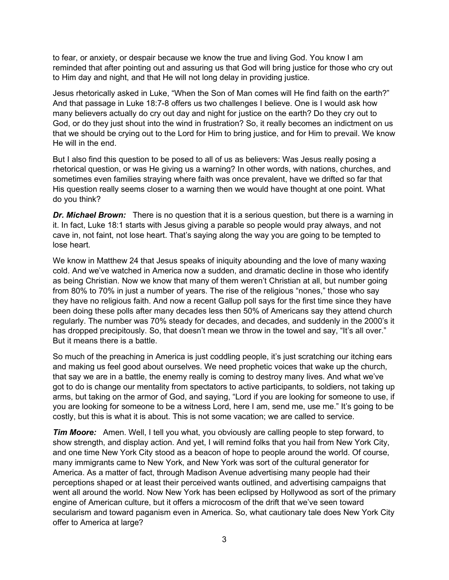to fear, or anxiety, or despair because we know the true and living God. You know I am reminded that after pointing out and assuring us that God will bring justice for those who cry out to Him day and night, and that He will not long delay in providing justice.

Jesus rhetorically asked in Luke, "When the Son of Man comes will He find faith on the earth?" And that passage in Luke 18:7-8 offers us two challenges I believe. One is I would ask how many believers actually do cry out day and night for justice on the earth? Do they cry out to God, or do they just shout into the wind in frustration? So, it really becomes an indictment on us that we should be crying out to the Lord for Him to bring justice, and for Him to prevail. We know He will in the end.

But I also find this question to be posed to all of us as believers: Was Jesus really posing a rhetorical question, or was He giving us a warning? In other words, with nations, churches, and sometimes even families straying where faith was once prevalent, have we drifted so far that His question really seems closer to a warning then we would have thought at one point. What do you think?

*Dr. Michael Brown:* There is no question that it is a serious question, but there is a warning in it. In fact, Luke 18:1 starts with Jesus giving a parable so people would pray always, and not cave in, not faint, not lose heart. That's saying along the way you are going to be tempted to lose heart.

We know in Matthew 24 that Jesus speaks of iniquity abounding and the love of many waxing cold. And we've watched in America now a sudden, and dramatic decline in those who identify as being Christian. Now we know that many of them weren't Christian at all, but number going from 80% to 70% in just a number of years. The rise of the religious "nones," those who say they have no religious faith. And now a recent Gallup poll says for the first time since they have been doing these polls after many decades less then 50% of Americans say they attend church regularly. The number was 70% steady for decades, and decades, and suddenly in the 2000's it has dropped precipitously. So, that doesn't mean we throw in the towel and say, "It's all over." But it means there is a battle.

So much of the preaching in America is just coddling people, it's just scratching our itching ears and making us feel good about ourselves. We need prophetic voices that wake up the church, that say we are in a battle, the enemy really is coming to destroy many lives. And what we've got to do is change our mentality from spectators to active participants, to soldiers, not taking up arms, but taking on the armor of God, and saying, "Lord if you are looking for someone to use, if you are looking for someone to be a witness Lord, here I am, send me, use me." It's going to be costly, but this is what it is about. This is not some vacation; we are called to service.

*Tim Moore:* Amen. Well, I tell you what, you obviously are calling people to step forward, to show strength, and display action. And yet, I will remind folks that you hail from New York City, and one time New York City stood as a beacon of hope to people around the world. Of course, many immigrants came to New York, and New York was sort of the cultural generator for America. As a matter of fact, through Madison Avenue advertising many people had their perceptions shaped or at least their perceived wants outlined, and advertising campaigns that went all around the world. Now New York has been eclipsed by Hollywood as sort of the primary engine of American culture, but it offers a microcosm of the drift that we've seen toward secularism and toward paganism even in America. So, what cautionary tale does New York City offer to America at large?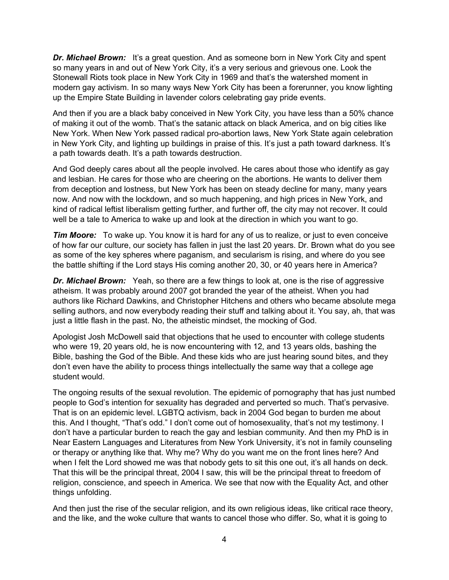*Dr. Michael Brown:* It's a great question. And as someone born in New York City and spent so many years in and out of New York City, it's a very serious and grievous one. Look the Stonewall Riots took place in New York City in 1969 and that's the watershed moment in modern gay activism. In so many ways New York City has been a forerunner, you know lighting up the Empire State Building in lavender colors celebrating gay pride events.

And then if you are a black baby conceived in New York City, you have less than a 50% chance of making it out of the womb. That's the satanic attack on black America, and on big cities like New York. When New York passed radical pro-abortion laws, New York State again celebration in New York City, and lighting up buildings in praise of this. It's just a path toward darkness. It's a path towards death. It's a path towards destruction.

And God deeply cares about all the people involved. He cares about those who identify as gay and lesbian. He cares for those who are cheering on the abortions. He wants to deliver them from deception and lostness, but New York has been on steady decline for many, many years now. And now with the lockdown, and so much happening, and high prices in New York, and kind of radical leftist liberalism getting further, and further off, the city may not recover. It could well be a tale to America to wake up and look at the direction in which you want to go.

*Tim Moore:* To wake up. You know it is hard for any of us to realize, or just to even conceive of how far our culture, our society has fallen in just the last 20 years. Dr. Brown what do you see as some of the key spheres where paganism, and secularism is rising, and where do you see the battle shifting if the Lord stays His coming another 20, 30, or 40 years here in America?

**Dr. Michael Brown:** Yeah, so there are a few things to look at, one is the rise of aggressive atheism. It was probably around 2007 got branded the year of the atheist. When you had authors like Richard Dawkins, and Christopher Hitchens and others who became absolute mega selling authors, and now everybody reading their stuff and talking about it. You say, ah, that was just a little flash in the past. No, the atheistic mindset, the mocking of God.

Apologist Josh McDowell said that objections that he used to encounter with college students who were 19, 20 years old, he is now encountering with 12, and 13 years olds, bashing the Bible, bashing the God of the Bible. And these kids who are just hearing sound bites, and they don't even have the ability to process things intellectually the same way that a college age student would.

The ongoing results of the sexual revolution. The epidemic of pornography that has just numbed people to God's intention for sexuality has degraded and perverted so much. That's pervasive. That is on an epidemic level. LGBTQ activism, back in 2004 God began to burden me about this. And I thought, "That's odd." I don't come out of homosexuality, that's not my testimony. I don't have a particular burden to reach the gay and lesbian community. And then my PhD is in Near Eastern Languages and Literatures from New York University, it's not in family counseling or therapy or anything like that. Why me? Why do you want me on the front lines here? And when I felt the Lord showed me was that nobody gets to sit this one out, it's all hands on deck. That this will be the principal threat, 2004 I saw, this will be the principal threat to freedom of religion, conscience, and speech in America. We see that now with the Equality Act, and other things unfolding.

And then just the rise of the secular religion, and its own religious ideas, like critical race theory, and the like, and the woke culture that wants to cancel those who differ. So, what it is going to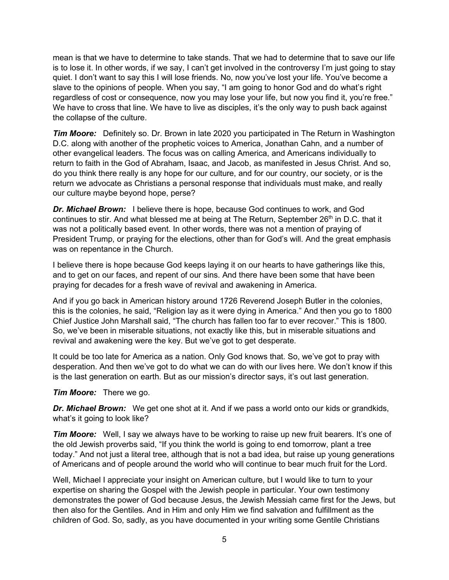mean is that we have to determine to take stands. That we had to determine that to save our life is to lose it. In other words, if we say, I can't get involved in the controversy I'm just going to stay quiet. I don't want to say this I will lose friends. No, now you've lost your life. You've become a slave to the opinions of people. When you say, "I am going to honor God and do what's right regardless of cost or consequence, now you may lose your life, but now you find it, you're free." We have to cross that line. We have to live as disciples, it's the only way to push back against the collapse of the culture.

*Tim Moore:* Definitely so. Dr. Brown in late 2020 you participated in The Return in Washington D.C. along with another of the prophetic voices to America, Jonathan Cahn, and a number of other evangelical leaders. The focus was on calling America, and Americans individually to return to faith in the God of Abraham, Isaac, and Jacob, as manifested in Jesus Christ. And so, do you think there really is any hope for our culture, and for our country, our society, or is the return we advocate as Christians a personal response that individuals must make, and really our culture maybe beyond hope, perse?

**Dr. Michael Brown:** I believe there is hope, because God continues to work, and God continues to stir. And what blessed me at being at The Return, September  $26<sup>th</sup>$  in D.C. that it was not a politically based event. In other words, there was not a mention of praying of President Trump, or praying for the elections, other than for God's will. And the great emphasis was on repentance in the Church.

I believe there is hope because God keeps laying it on our hearts to have gatherings like this, and to get on our faces, and repent of our sins. And there have been some that have been praying for decades for a fresh wave of revival and awakening in America.

And if you go back in American history around 1726 Reverend Joseph Butler in the colonies, this is the colonies, he said, "Religion lay as it were dying in America." And then you go to 1800 Chief Justice John Marshall said, "The church has fallen too far to ever recover." This is 1800. So, we've been in miserable situations, not exactly like this, but in miserable situations and revival and awakening were the key. But we've got to get desperate.

It could be too late for America as a nation. Only God knows that. So, we've got to pray with desperation. And then we've got to do what we can do with our lives here. We don't know if this is the last generation on earth. But as our mission's director says, it's out last generation.

*Tim Moore:* There we go.

*Dr. Michael Brown:* We get one shot at it. And if we pass a world onto our kids or grandkids, what's it going to look like?

*Tim Moore:* Well, I say we always have to be working to raise up new fruit bearers. It's one of the old Jewish proverbs said, "If you think the world is going to end tomorrow, plant a tree today." And not just a literal tree, although that is not a bad idea, but raise up young generations of Americans and of people around the world who will continue to bear much fruit for the Lord.

Well, Michael I appreciate your insight on American culture, but I would like to turn to your expertise on sharing the Gospel with the Jewish people in particular. Your own testimony demonstrates the power of God because Jesus, the Jewish Messiah came first for the Jews, but then also for the Gentiles. And in Him and only Him we find salvation and fulfillment as the children of God. So, sadly, as you have documented in your writing some Gentile Christians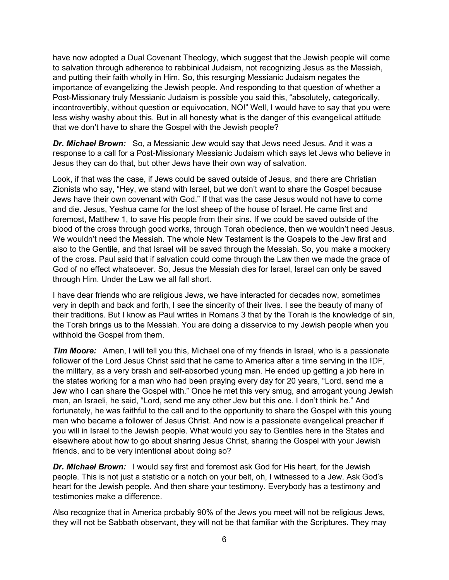have now adopted a Dual Covenant Theology, which suggest that the Jewish people will come to salvation through adherence to rabbinical Judaism, not recognizing Jesus as the Messiah, and putting their faith wholly in Him. So, this resurging Messianic Judaism negates the importance of evangelizing the Jewish people. And responding to that question of whether a Post-Missionary truly Messianic Judaism is possible you said this, "absolutely, categorically, incontrovertibly, without question or equivocation, NO!" Well, I would have to say that you were less wishy washy about this. But in all honesty what is the danger of this evangelical attitude that we don't have to share the Gospel with the Jewish people?

*Dr. Michael Brown:* So, a Messianic Jew would say that Jews need Jesus. And it was a response to a call for a Post-Missionary Messianic Judaism which says let Jews who believe in Jesus they can do that, but other Jews have their own way of salvation.

Look, if that was the case, if Jews could be saved outside of Jesus, and there are Christian Zionists who say, "Hey, we stand with Israel, but we don't want to share the Gospel because Jews have their own covenant with God." If that was the case Jesus would not have to come and die. Jesus, Yeshua came for the lost sheep of the house of Israel. He came first and foremost, Matthew 1, to save His people from their sins. If we could be saved outside of the blood of the cross through good works, through Torah obedience, then we wouldn't need Jesus. We wouldn't need the Messiah. The whole New Testament is the Gospels to the Jew first and also to the Gentile, and that Israel will be saved through the Messiah. So, you make a mockery of the cross. Paul said that if salvation could come through the Law then we made the grace of God of no effect whatsoever. So, Jesus the Messiah dies for Israel, Israel can only be saved through Him. Under the Law we all fall short.

I have dear friends who are religious Jews, we have interacted for decades now, sometimes very in depth and back and forth, I see the sincerity of their lives. I see the beauty of many of their traditions. But I know as Paul writes in Romans 3 that by the Torah is the knowledge of sin, the Torah brings us to the Messiah. You are doing a disservice to my Jewish people when you withhold the Gospel from them.

*Tim Moore:* Amen, I will tell you this, Michael one of my friends in Israel, who is a passionate follower of the Lord Jesus Christ said that he came to America after a time serving in the IDF, the military, as a very brash and self-absorbed young man. He ended up getting a job here in the states working for a man who had been praying every day for 20 years, "Lord, send me a Jew who I can share the Gospel with." Once he met this very smug, and arrogant young Jewish man, an Israeli, he said, "Lord, send me any other Jew but this one. I don't think he." And fortunately, he was faithful to the call and to the opportunity to share the Gospel with this young man who became a follower of Jesus Christ. And now is a passionate evangelical preacher if you will in Israel to the Jewish people. What would you say to Gentiles here in the States and elsewhere about how to go about sharing Jesus Christ, sharing the Gospel with your Jewish friends, and to be very intentional about doing so?

**Dr. Michael Brown:** I would say first and foremost ask God for His heart, for the Jewish people. This is not just a statistic or a notch on your belt, oh, I witnessed to a Jew. Ask God's heart for the Jewish people. And then share your testimony. Everybody has a testimony and testimonies make a difference.

Also recognize that in America probably 90% of the Jews you meet will not be religious Jews, they will not be Sabbath observant, they will not be that familiar with the Scriptures. They may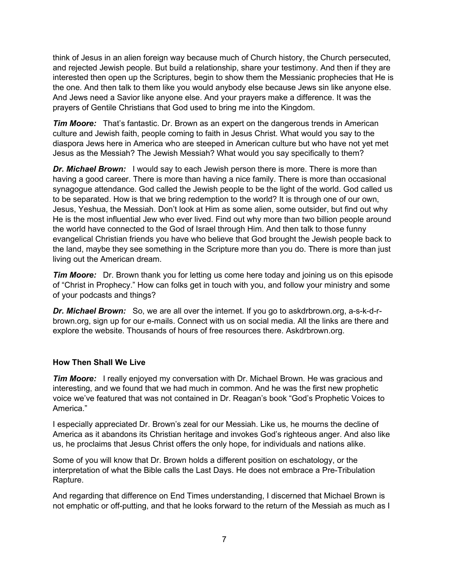think of Jesus in an alien foreign way because much of Church history, the Church persecuted, and rejected Jewish people. But build a relationship, share your testimony. And then if they are interested then open up the Scriptures, begin to show them the Messianic prophecies that He is the one. And then talk to them like you would anybody else because Jews sin like anyone else. And Jews need a Savior like anyone else. And your prayers make a difference. It was the prayers of Gentile Christians that God used to bring me into the Kingdom.

*Tim Moore:* That's fantastic. Dr. Brown as an expert on the dangerous trends in American culture and Jewish faith, people coming to faith in Jesus Christ. What would you say to the diaspora Jews here in America who are steeped in American culture but who have not yet met Jesus as the Messiah? The Jewish Messiah? What would you say specifically to them?

**Dr. Michael Brown:** I would say to each Jewish person there is more. There is more than having a good career. There is more than having a nice family. There is more than occasional synagogue attendance. God called the Jewish people to be the light of the world. God called us to be separated. How is that we bring redemption to the world? It is through one of our own, Jesus, Yeshua, the Messiah. Don't look at Him as some alien, some outsider, but find out why He is the most influential Jew who ever lived. Find out why more than two billion people around the world have connected to the God of Israel through Him. And then talk to those funny evangelical Christian friends you have who believe that God brought the Jewish people back to the land, maybe they see something in the Scripture more than you do. There is more than just living out the American dream.

*Tim Moore:* Dr. Brown thank you for letting us come here today and joining us on this episode of "Christ in Prophecy." How can folks get in touch with you, and follow your ministry and some of your podcasts and things?

*Dr. Michael Brown:* So, we are all over the internet. If you go to askdrbrown.org, a-s-k-d-rbrown.org, sign up for our e-mails. Connect with us on social media. All the links are there and explore the website. Thousands of hours of free resources there. Askdrbrown.org.

### **How Then Shall We Live**

*Tim Moore:* I really enjoyed my conversation with Dr. Michael Brown. He was gracious and interesting, and we found that we had much in common. And he was the first new prophetic voice we've featured that was not contained in Dr. Reagan's book "God's Prophetic Voices to America."

I especially appreciated Dr. Brown's zeal for our Messiah. Like us, he mourns the decline of America as it abandons its Christian heritage and invokes God's righteous anger. And also like us, he proclaims that Jesus Christ offers the only hope, for individuals and nations alike.

Some of you will know that Dr. Brown holds a different position on eschatology, or the interpretation of what the Bible calls the Last Days. He does not embrace a Pre-Tribulation Rapture.

And regarding that difference on End Times understanding, I discerned that Michael Brown is not emphatic or off-putting, and that he looks forward to the return of the Messiah as much as I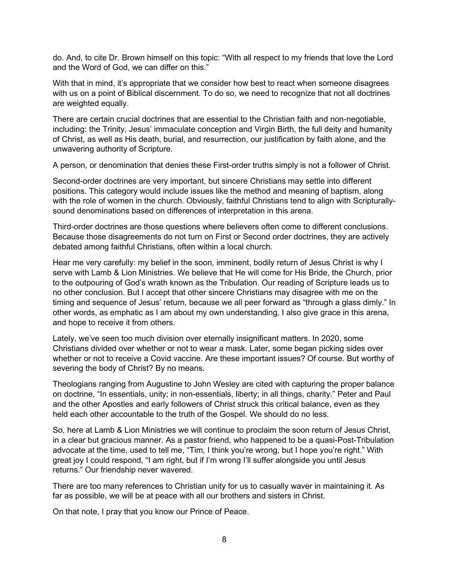do. And, to cite Dr. Brown himself on this topic: "With all respect to my friends that love the Lord and the Word of God, we can differ on this."

With that in mind, it's appropriate that we consider how best to react when someone disagrees with us on a point of Biblical discernment. To do so, we need to recognize that not all doctrines are weighted equally.

There are certain crucial doctrines that are essential to the Christian faith and non-negotiable, including: the Trinity, Jesus' immaculate conception and Virgin Birth, the full deity and humanity of Christ, as well as His death, burial, and resurrection, our justification by faith alone, and the unwavering authority of Scripture.

A person, or denomination that denies these First-order truths simply is not a follower of Christ.

Second-order doctrines are very important, but sincere Christians may settle into different positions. This category would include issues like the method and meaning of baptism, along with the role of women in the church. Obviously, faithful Christians tend to align with Scripturallysound denominations based on differences of interpretation in this arena.

Third-order doctrines are those questions where believers often come to different conclusions. Because those disagreements do not turn on First or Second order doctrines, they are actively debated among faithful Christians, often within a local church.

Hear me very carefully: my belief in the soon, imminent, bodily return of Jesus Christ is why I serve with Lamb & Lion Ministries. We believe that He will come for His Bride, the Church, prior to the outpouring of God's wrath known as the Tribulation. Our reading of Scripture leads us to no other conclusion. But I accept that other sincere Christians may disagree with me on the timing and sequence of Jesus' return, because we all peer forward as "through a glass dimly." In other words, as emphatic as I am about my own understanding, I also give grace in this arena, and hope to receive it from others.

Lately, we've seen too much division over eternally insignificant matters. In 2020, some Christians divided over whether or not to wear a mask. Later, some began picking sides over whether or not to receive a Covid vaccine. Are these important issues? Of course. But worthy of severing the body of Christ? By no means.

Theologians ranging from Augustine to John Wesley are cited with capturing the proper balance on doctrine, "In essentials, unity; in non-essentials, liberty; in all things, charity." Peter and Paul and the other Apostles and early followers of Christ struck this critical balance, even as they held each other accountable to the truth of the Gospel. We should do no less.

So, here at Lamb & Lion Ministries we will continue to proclaim the soon return of Jesus Christ, in a clear but gracious manner. As a pastor friend, who happened to be a quasi-Post-Tribulation advocate at the time, used to tell me, "Tim, I think you're wrong, but I hope you're right." With great joy I could respond, "I am right, but if I'm wrong I'll suffer alongside you until Jesus returns." Our friendship never wavered.

There are too many references to Christian unity for us to casually waver in maintaining it. As far as possible, we will be at peace with all our brothers and sisters in Christ.

On that note, I pray that you know our Prince of Peace.